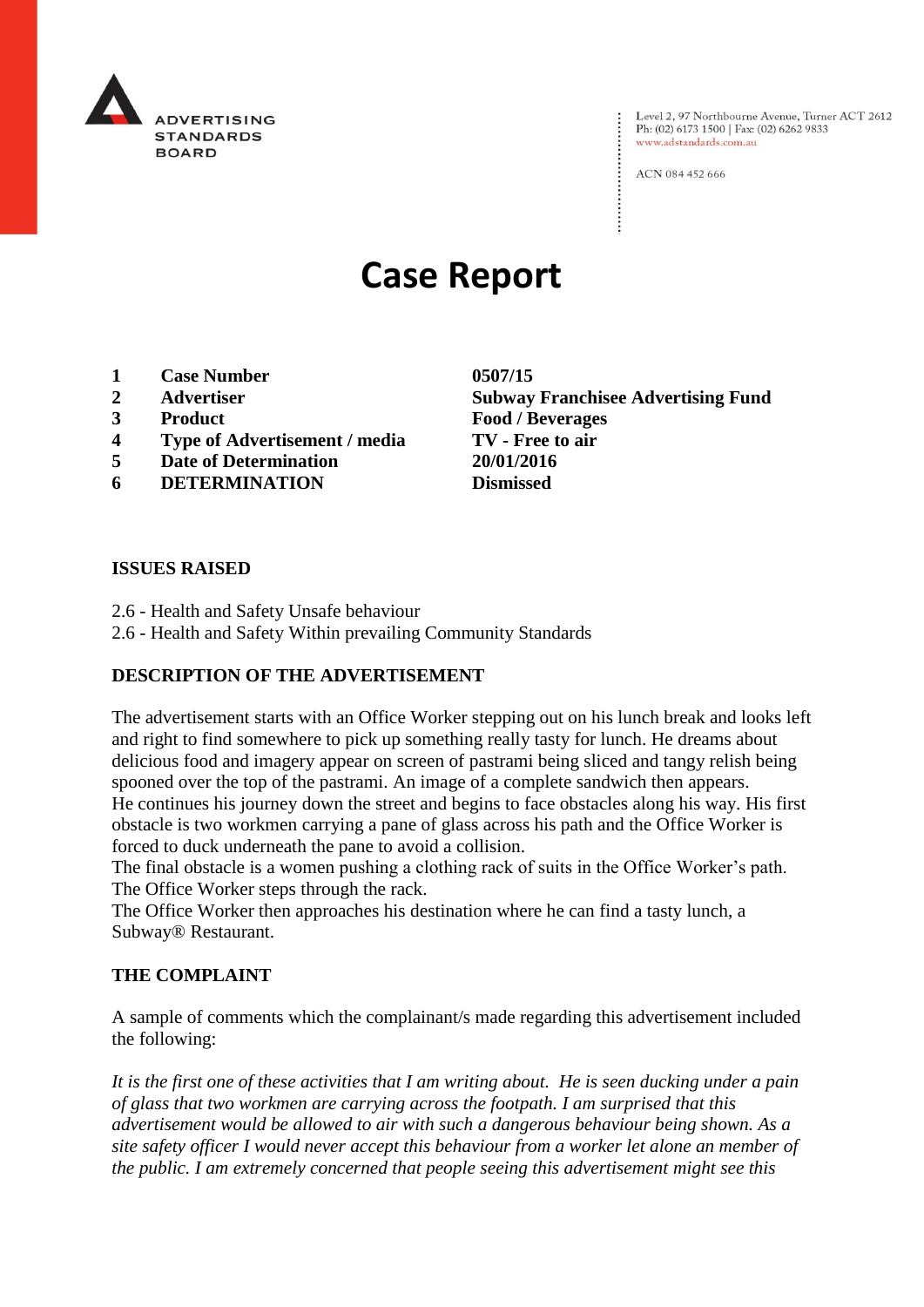

Level 2, 97 Northbourne Avenue, Turner ACT 2612<br>Ph: (02) 6173 1500 | Fax: (02) 6262 9833 www.adstandards.com.au

ACN 084 452 666

# **Case Report**

- **1 Case Number 0507/15**
- 
- 
- **4 Type of Advertisement / media TV - Free to air**
- **5 Date of Determination 20/01/2016**
- **6 DETERMINATION Dismissed**

**2 Advertiser Subway Franchisee Advertising Fund 3 Product Food / Beverages**

#### **ISSUES RAISED**

- 2.6 Health and Safety Unsafe behaviour
- 2.6 Health and Safety Within prevailing Community Standards

### **DESCRIPTION OF THE ADVERTISEMENT**

The advertisement starts with an Office Worker stepping out on his lunch break and looks left and right to find somewhere to pick up something really tasty for lunch. He dreams about delicious food and imagery appear on screen of pastrami being sliced and tangy relish being spooned over the top of the pastrami. An image of a complete sandwich then appears. He continues his journey down the street and begins to face obstacles along his way. His first obstacle is two workmen carrying a pane of glass across his path and the Office Worker is forced to duck underneath the pane to avoid a collision.

The final obstacle is a women pushing a clothing rack of suits in the Office Worker's path. The Office Worker steps through the rack.

The Office Worker then approaches his destination where he can find a tasty lunch, a Subway® Restaurant.

### **THE COMPLAINT**

A sample of comments which the complainant/s made regarding this advertisement included the following:

*It is the first one of these activities that I am writing about. He is seen ducking under a pain of glass that two workmen are carrying across the footpath. I am surprised that this advertisement would be allowed to air with such a dangerous behaviour being shown. As a site safety officer I would never accept this behaviour from a worker let alone an member of the public. I am extremely concerned that people seeing this advertisement might see this*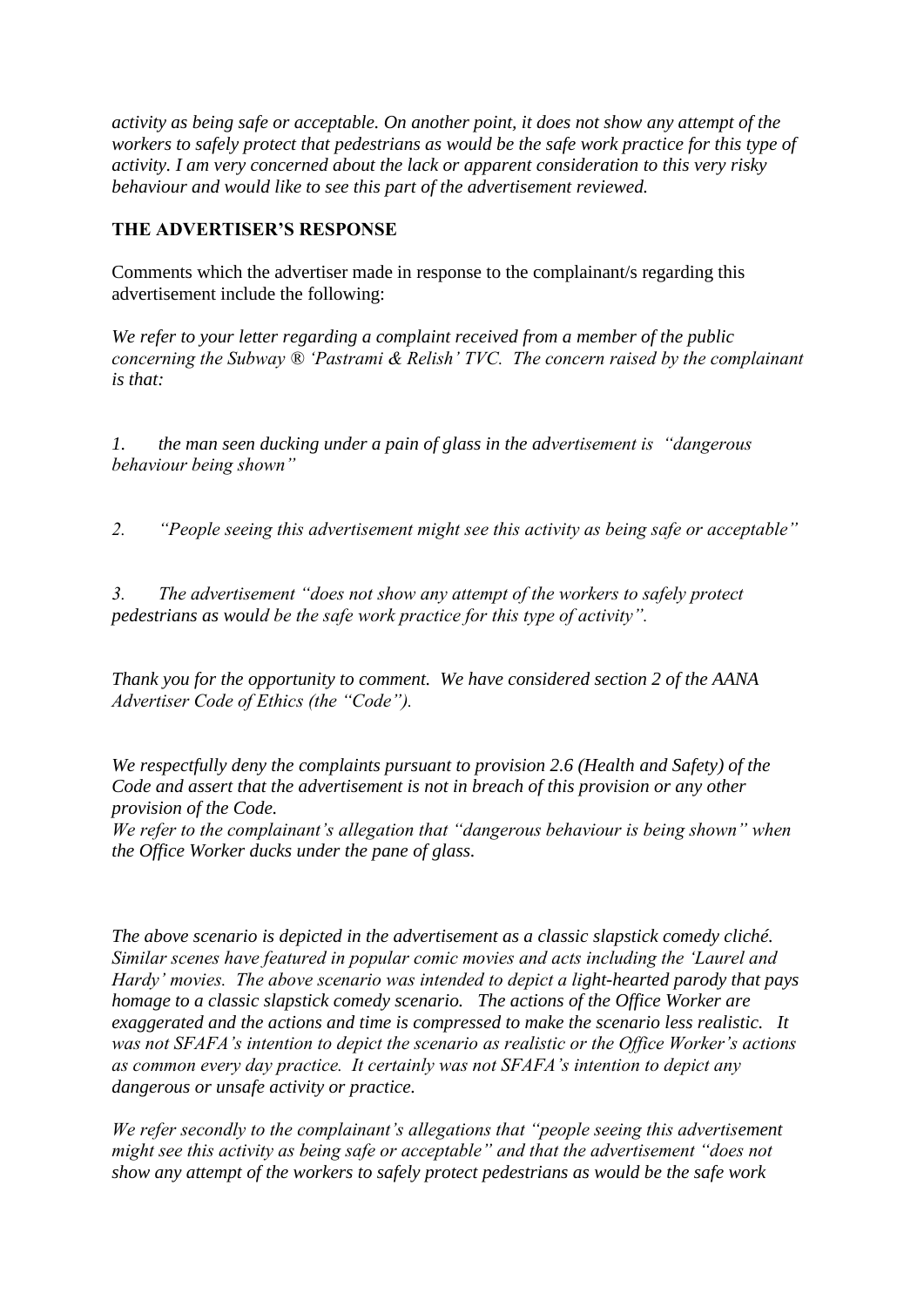*activity as being safe or acceptable. On another point, it does not show any attempt of the workers to safely protect that pedestrians as would be the safe work practice for this type of activity. I am very concerned about the lack or apparent consideration to this very risky behaviour and would like to see this part of the advertisement reviewed.*

## **THE ADVERTISER'S RESPONSE**

Comments which the advertiser made in response to the complainant/s regarding this advertisement include the following:

*We refer to your letter regarding a complaint received from a member of the public concerning the Subway ® 'Pastrami & Relish' TVC. The concern raised by the complainant is that:* 

*1. the man seen ducking under a pain of glass in the advertisement is "dangerous behaviour being shown"*

*2. "People seeing this advertisement might see this activity as being safe or acceptable"*

*3. The advertisement "does not show any attempt of the workers to safely protect pedestrians as would be the safe work practice for this type of activity".*

*Thank you for the opportunity to comment. We have considered section 2 of the AANA Advertiser Code of Ethics (the "Code").* 

*We respectfully deny the complaints pursuant to provision 2.6 (Health and Safety) of the Code and assert that the advertisement is not in breach of this provision or any other provision of the Code.*

*We refer to the complainant's allegation that "dangerous behaviour is being shown" when the Office Worker ducks under the pane of glass.* 

*The above scenario is depicted in the advertisement as a classic slapstick comedy cliché. Similar scenes have featured in popular comic movies and acts including the 'Laurel and Hardy' movies. The above scenario was intended to depict a light-hearted parody that pays homage to a classic slapstick comedy scenario. The actions of the Office Worker are exaggerated and the actions and time is compressed to make the scenario less realistic. It was not SFAFA's intention to depict the scenario as realistic or the Office Worker's actions as common every day practice. It certainly was not SFAFA's intention to depict any dangerous or unsafe activity or practice.*

*We refer secondly to the complainant's allegations that "people seeing this advertisement might see this activity as being safe or acceptable" and that the advertisement "does not show any attempt of the workers to safely protect pedestrians as would be the safe work*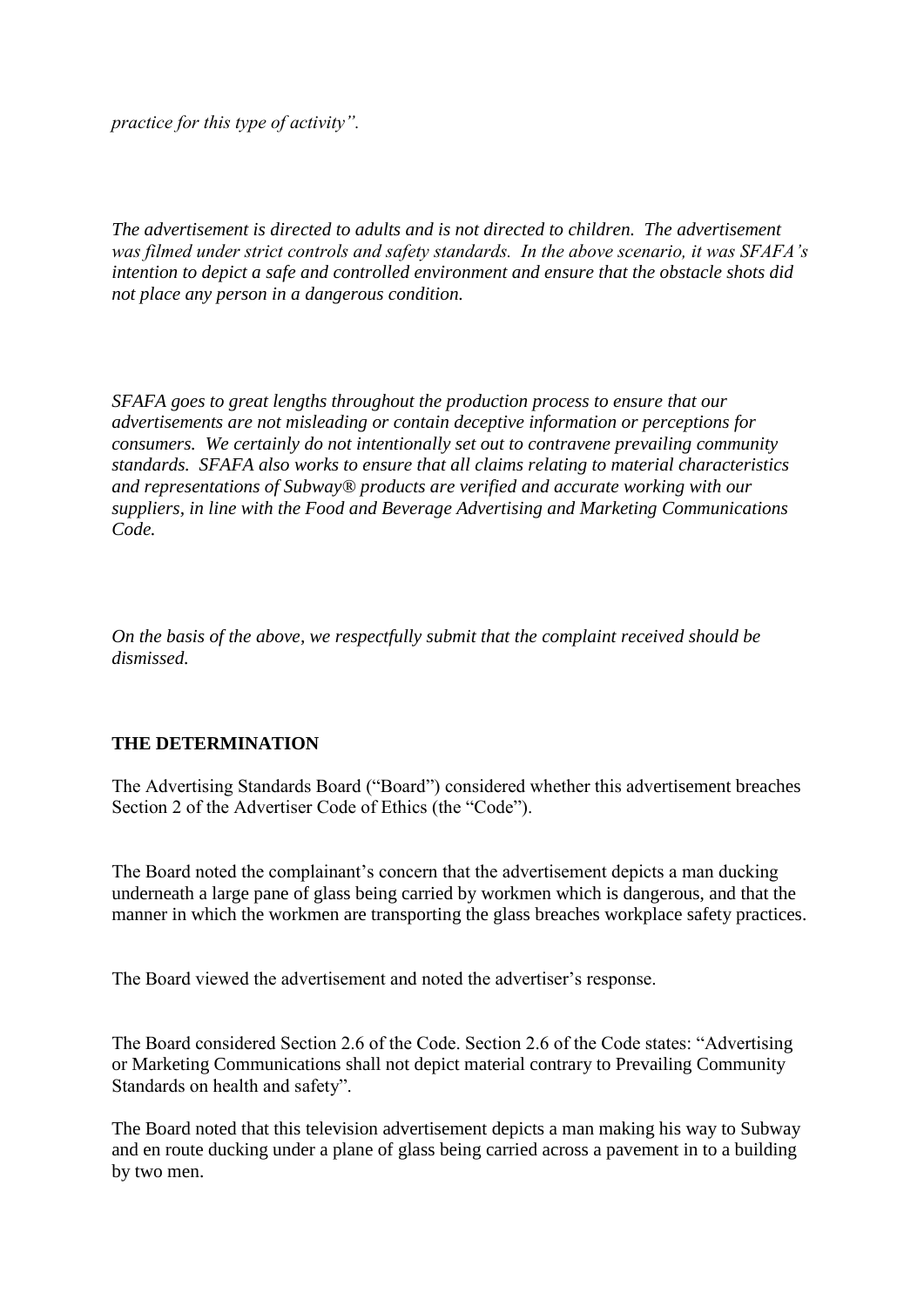*practice for this type of activity".* 

*The advertisement is directed to adults and is not directed to children. The advertisement was filmed under strict controls and safety standards. In the above scenario, it was SFAFA's intention to depict a safe and controlled environment and ensure that the obstacle shots did not place any person in a dangerous condition.* 

*SFAFA goes to great lengths throughout the production process to ensure that our advertisements are not misleading or contain deceptive information or perceptions for consumers. We certainly do not intentionally set out to contravene prevailing community standards. SFAFA also works to ensure that all claims relating to material characteristics and representations of Subway® products are verified and accurate working with our suppliers, in line with the Food and Beverage Advertising and Marketing Communications Code.*

*On the basis of the above, we respectfully submit that the complaint received should be dismissed.* 

### **THE DETERMINATION**

The Advertising Standards Board ("Board") considered whether this advertisement breaches Section 2 of the Advertiser Code of Ethics (the "Code").

The Board noted the complainant's concern that the advertisement depicts a man ducking underneath a large pane of glass being carried by workmen which is dangerous, and that the manner in which the workmen are transporting the glass breaches workplace safety practices.

The Board viewed the advertisement and noted the advertiser's response.

The Board considered Section 2.6 of the Code. Section 2.6 of the Code states: "Advertising or Marketing Communications shall not depict material contrary to Prevailing Community Standards on health and safety".

The Board noted that this television advertisement depicts a man making his way to Subway and en route ducking under a plane of glass being carried across a pavement in to a building by two men.